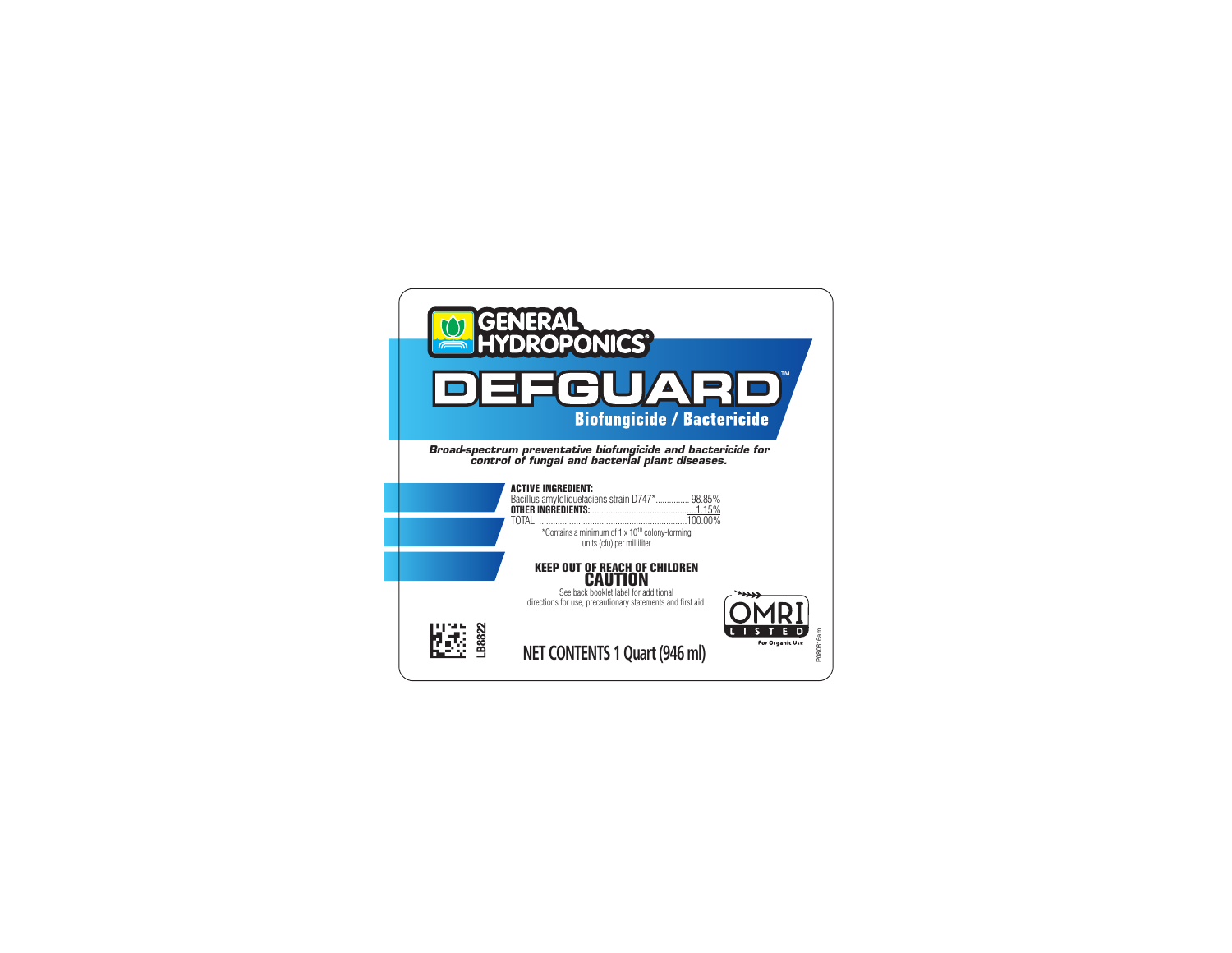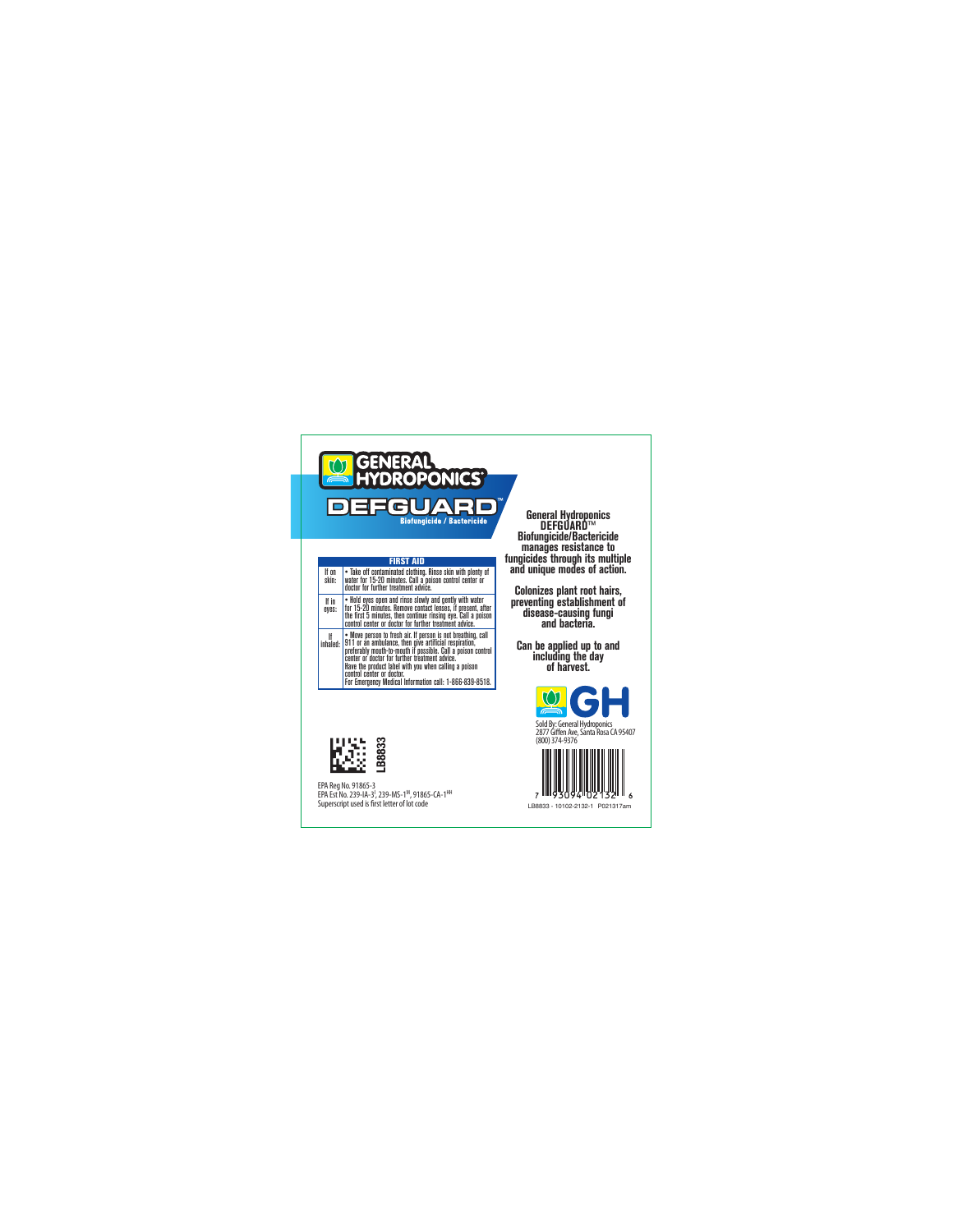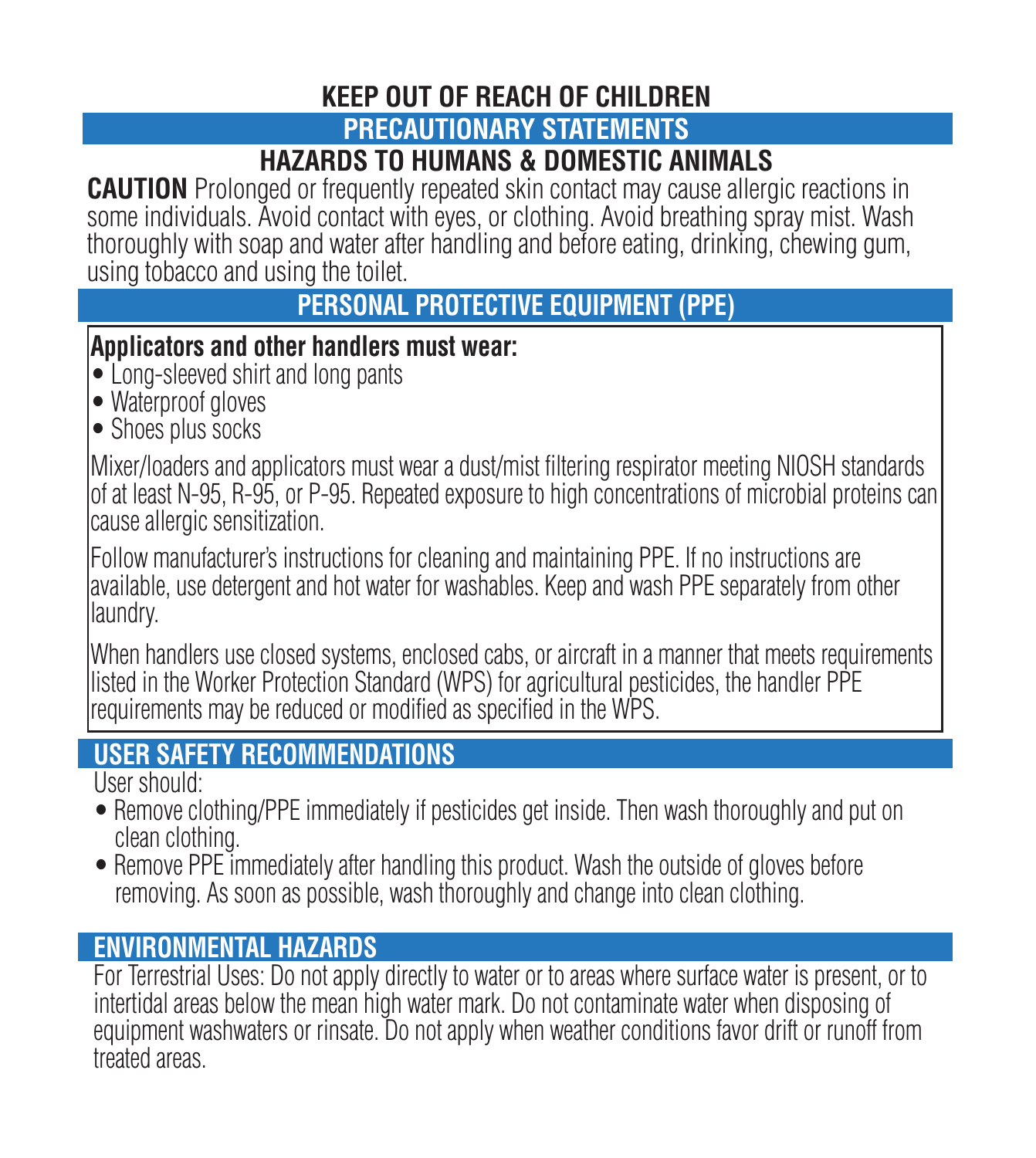### **KEEP OUT OF REACH OF CHILDREN**

**PRECAUTIONARY STATEMENTS**

#### **HAZARDS TO HUMANS & DOMESTIC ANIMALS**

**CAUTION** Prolonged or frequently repeated skin contact may cause allergic reactions in some individuals. Avoid contact with eyes, or clothing. Avoid breathing spray mist. Wash thoroughly with soap and water after handling and before eating, drinking, chewing gum, using tobacco and using the toilet.

**PERSONAL PROTECTIVE EQUIPMENT (PPE)**

#### **Applicators and other handlers must wear:**

- Long-sleeved shirt and long pants
- Waterproof gloves
- Shoes plus socks

Mixer/loaders and applicators must wear a dust/mist filtering respirator meeting NIOSH standards of at least N-95, R-95, or P-95. Repeated exposure to high concentrations of microbial proteins can cause allergic sensitization.

Follow manufacturer's instructions for cleaning and maintaining PPE. If no instructions are available, use detergent and hot water for washables. Keep and wash PPE separately from other laundry.

When handlers use closed systems, enclosed cabs, or aircraft in a manner that meets requirements listed in the Worker Protection Standard (WPS) for agricultural pesticides, the handler PPE requirements may be reduced or modified as specified in the WPS.

#### **USER SAFETY RECOMMENDATIONS**

User should:

- Remove clothing/PPE immediately if pesticides get inside. Then wash thoroughly and put on clean clothing.
- Remove PPE immediately after handling this product. Wash the outside of gloves before removing. As soon as possible, wash thoroughly and change into clean clothing.

#### **ENVIRONMENTAL HAZARDS**

For Terrestrial Uses: Do not apply directly to water or to areas where surface water is present, or to intertidal areas below the mean high water mark. Do not contaminate water when disposing of equipment washwaters or rinsate. Do not apply when weather conditions favor drift or runoff from treated areas.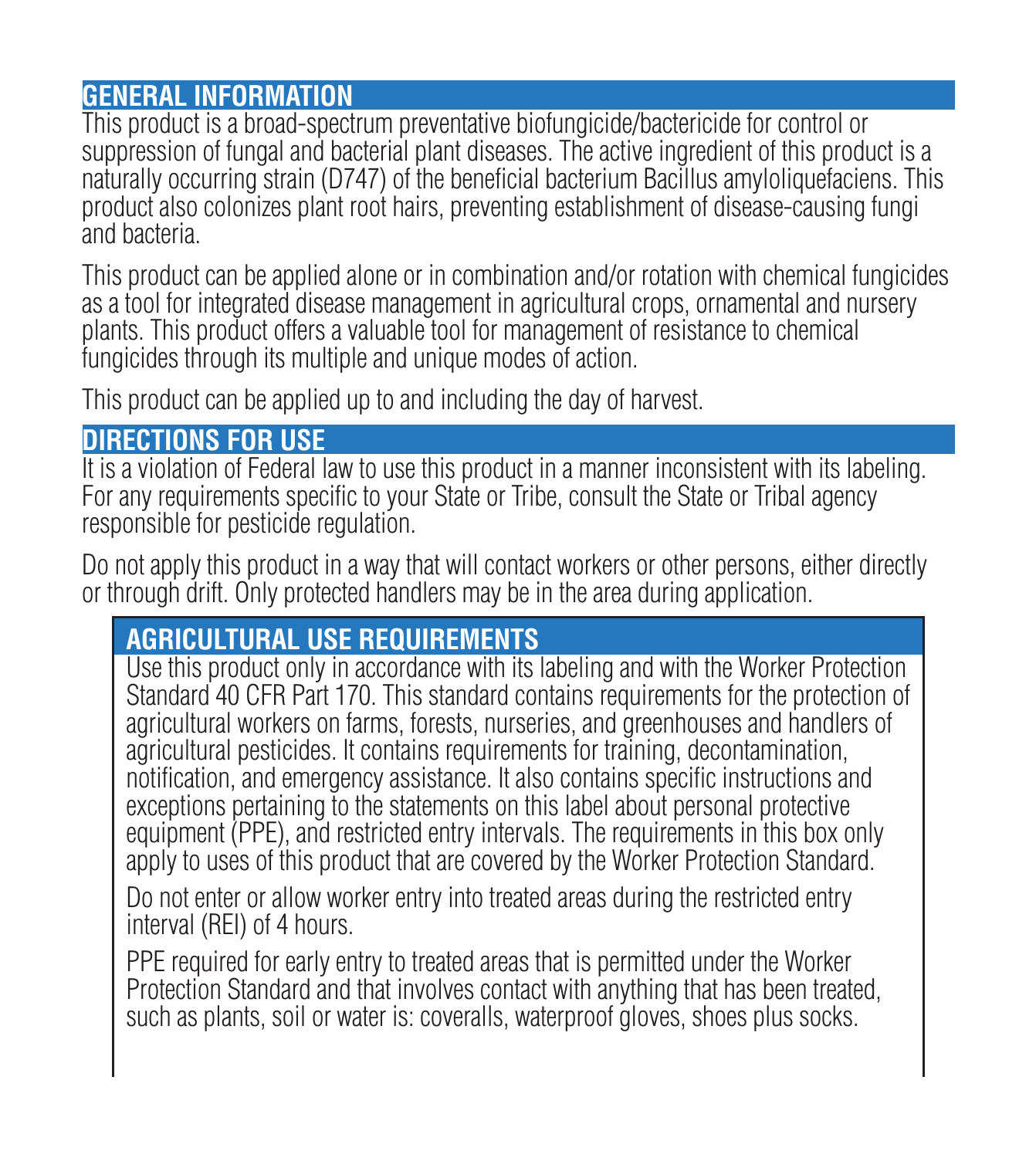#### **GENERAL INFORMATION**

This product is a broad-spectrum preventative biofungicide/bactericide for control or suppression of fungal and bacterial plant diseases. The active ingredient of this product is a naturally occurring strain (D747) of the beneficial bacterium Bacillus amyloliquefaciens. This product also colonizes plant root hairs, preventing establishment of disease-causing fungi and bacteria.

This product can be applied alone or in combination and/or rotation with chemical fungicides as a tool for integrated disease management in agricultural crops, ornamental and nursery plants. This product offers a valuable tool for management of resistance to chemical fungicides through its multiple and unique modes of action.

This product can be applied up to and including the day of harvest.

#### **DIRECTIONS FOR USE**

It is a violation of Federal law to use this product in a manner inconsistent with its labeling. For any requirements specific to your State or Tribe, consult the State or Tribal agency responsible for pesticide regulation.

Do not apply this product in a way that will contact workers or other persons, either directly or through drift. Only protected handlers may be in the area during application.

### **AGRICULTURAL USE REQUIREMENTS**

Use this product only in accordance with its labeling and with the Worker Protection Standard 40 CFR Part 170. This standard contains requirements for the protection of agricultural workers on farms, forests, nurseries, and greenhouses and handlers of agricultural pesticides. It contains requirements for training, decontamination, notification, and emergency assistance. It also contains specific instructions and exceptions pertaining to the statements on this label about personal protective equipment (PPE), and restricted entry intervals. The requirements in this box only apply to uses of this product that are covered by the Worker Protection Standard. Do not enter or allow worker entry into treated areas during the restricted entry interval (REI) of 4 hours.

PPE required for early entry to treated areas that is permitted under the Worker Protection Standard and that involves contact with anything that has been treated, such as plants, soil or water is: coveralls, waterproof gloves, shoes plus socks.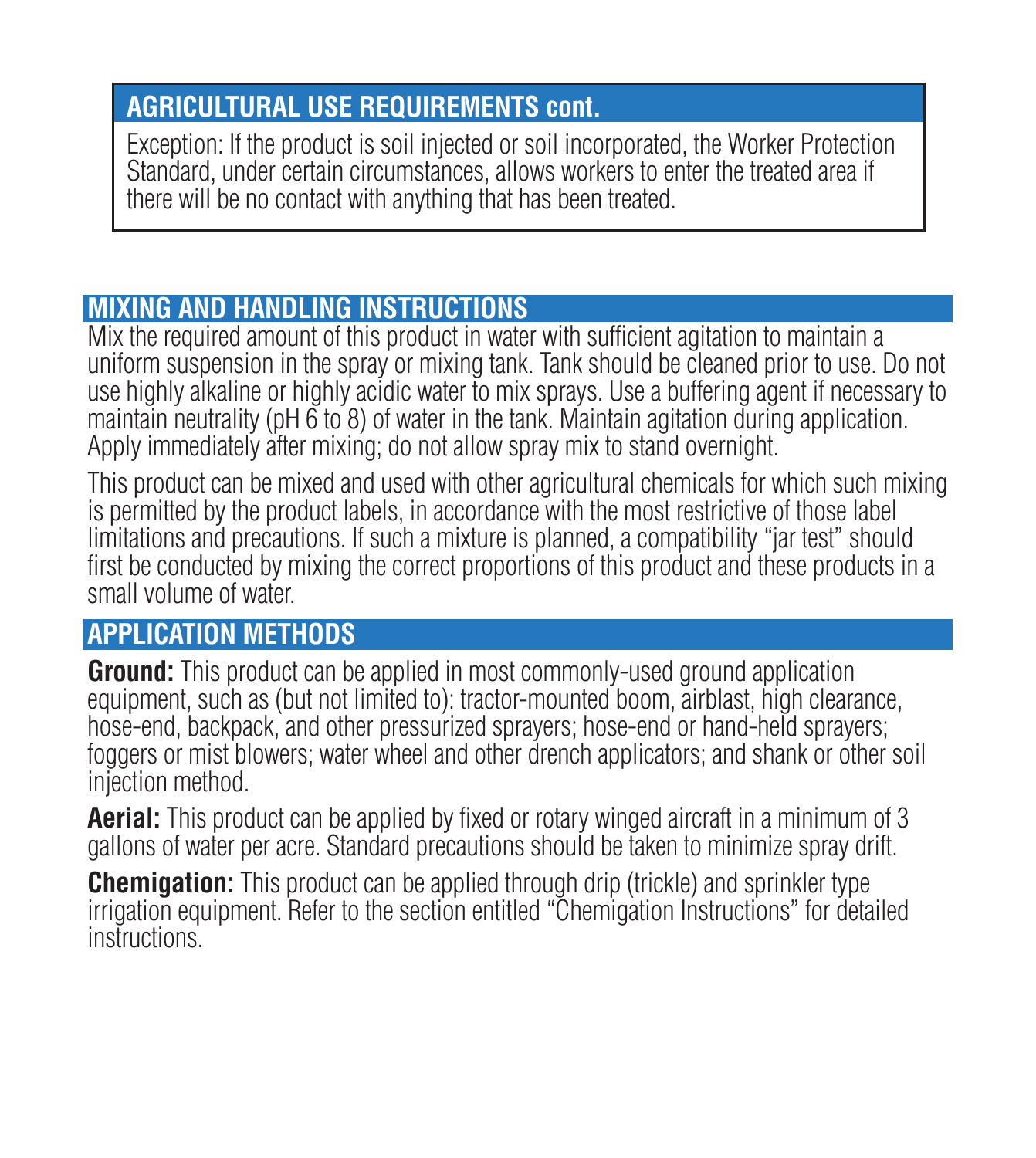### **AGRICULTURAL USE REQUIREMENTS cont.**

Exception: If the product is soil injected or soil incorporated, the Worker Protection Standard, under certain circumstances, allows workers to enter the treated area if there will be no contact with anything that has been treated.

## **MIXING AND HANDLING INSTRUCTIONS**

Mix the required amount of this product in water with sufficient agitation to maintain a uniform suspension in the spray or mixing tank. Tank should be cleaned prior to use. Do not use highly alkaline or highly acidic water to mix sprays. Use a buffering agent if necessary to maintain neutrality (pH 6 to 8) of water in the tank. Maintain agitation during application. Apply immediately after mixing; do not allow spray mix to stand overnight.

This product can be mixed and used with other agricultural chemicals for which such mixing is permitted by the product labels, in accordance with the most restrictive of those label limitations and precautions. If such a mixture is planned, a compatibility "jar test" should first be conducted by mixing the correct proportions of this product and these products in a small volume of water.

### **APPLICATION METHODS**

**Ground:** This product can be applied in most commonly-used ground application equipment, such as (but not limited to): tractor-mounted boom, airblast, high clearance, hose-end, backpack, and other pressurized sprayers; hose-end or hand-held sprayers; foggers or mist blowers; water wheel and other drench applicators; and shank or other soil injection method.

**Aerial:** This product can be applied by fixed or rotary winged aircraft in a minimum of 3 gallons of water per acre. Standard precautions should be taken to minimize spray drift.

**Chemigation:** This product can be applied through drip (trickle) and sprinkler type irrigation equipment. Refer to the section entitled "Chemigation Instructions" for detailed instructions.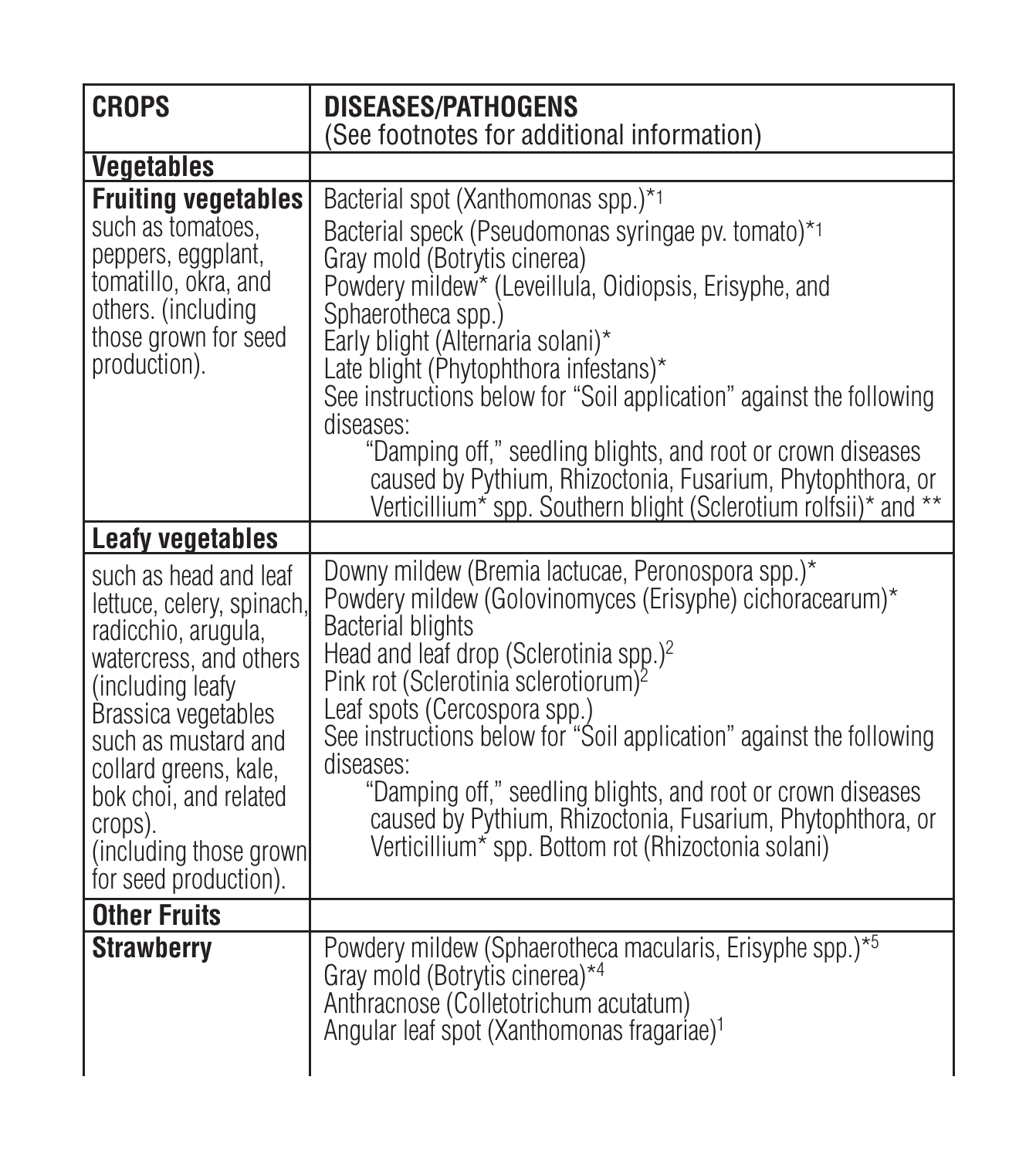| <b>CROPS</b>                                                                                                                                                                                                                                                                           | DISEASES/PATHOGENS<br>(See footnotes for additional information)                                                                                                                                                                                                                                                                                                                                                                                                                                                                                                         |
|----------------------------------------------------------------------------------------------------------------------------------------------------------------------------------------------------------------------------------------------------------------------------------------|--------------------------------------------------------------------------------------------------------------------------------------------------------------------------------------------------------------------------------------------------------------------------------------------------------------------------------------------------------------------------------------------------------------------------------------------------------------------------------------------------------------------------------------------------------------------------|
| <b>Vegetables</b>                                                                                                                                                                                                                                                                      |                                                                                                                                                                                                                                                                                                                                                                                                                                                                                                                                                                          |
| <b>Fruiting vegetables</b><br>such as tomatoes.<br>peppers, eggplant,<br>tomatillo, okra, and<br>others. (including<br>those grown for seed<br>production).                                                                                                                            | Bacterial spot (Xanthomonas spp.)*1<br>Bacterial speck (Pseudomonas syringae pv. tomato)*1<br>Grav mold (Botrytis cinerea)<br>Powdery mildew* (Leveillula, Oidiopsis, Erisyphe, and<br>Sohaerotheca spp.)<br>Early blight (Alternaria solani)*<br>Late blight (Phytophthora infestans)*<br>See instructions below for "Soil application" against the following<br>diseases:<br>"Damping off," seedling blights, and root or crown diseases<br>caused by Pythium, Rhizoctonia, Fusarium, Phytophthora, or<br>Verticillium* spp. Southern blight (Sclerotium rolfsii)* and |
| Leafy vegetables                                                                                                                                                                                                                                                                       |                                                                                                                                                                                                                                                                                                                                                                                                                                                                                                                                                                          |
| such as head and leaf<br>lettuce, celery, spinach,<br>radicchio, arugula,<br>watercress, and others<br>(including leafy<br>Brassica vegetables<br>such as mustard and<br>collard greens, kale,<br>bok choi, and related<br>crops).<br>(including those grown)<br>for seed production). | Downy mildew (Bremia lactucae, Peronospora spp.)*<br>Powdery mildew (Golovinomyces (Erisyphe) cichoracearum)*<br><b>Bacterial blights</b><br>Head and leaf drop (Sclerotinia spp.) <sup>2</sup><br>Pink rot (Sclerotinia sclerotiorum) <sup>2</sup><br>Leaf spots (Cercospora spp.)<br>See instructions below for "Soil application" against the following<br>diseases:<br>"Damping off," seedling blights, and root or crown diseases<br>caused by Pythium, Rhizoctonia, Fusarium, Phytophthora, or<br>Verticillium* spp. Bottom rot (Rhizoctonia solani)               |
| <b>Other Fruits</b>                                                                                                                                                                                                                                                                    |                                                                                                                                                                                                                                                                                                                                                                                                                                                                                                                                                                          |
| <b>Strawberry</b>                                                                                                                                                                                                                                                                      | Powdery mildew (Sphaerotheca macularis, Erisyphe spp.)*5<br>Gray mold (Botrytis cinerea)*4<br>Anthracnose (Colletotrichum acutatum)<br>Angular leaf spot (Xanthomonas fragariae) <sup>1</sup>                                                                                                                                                                                                                                                                                                                                                                            |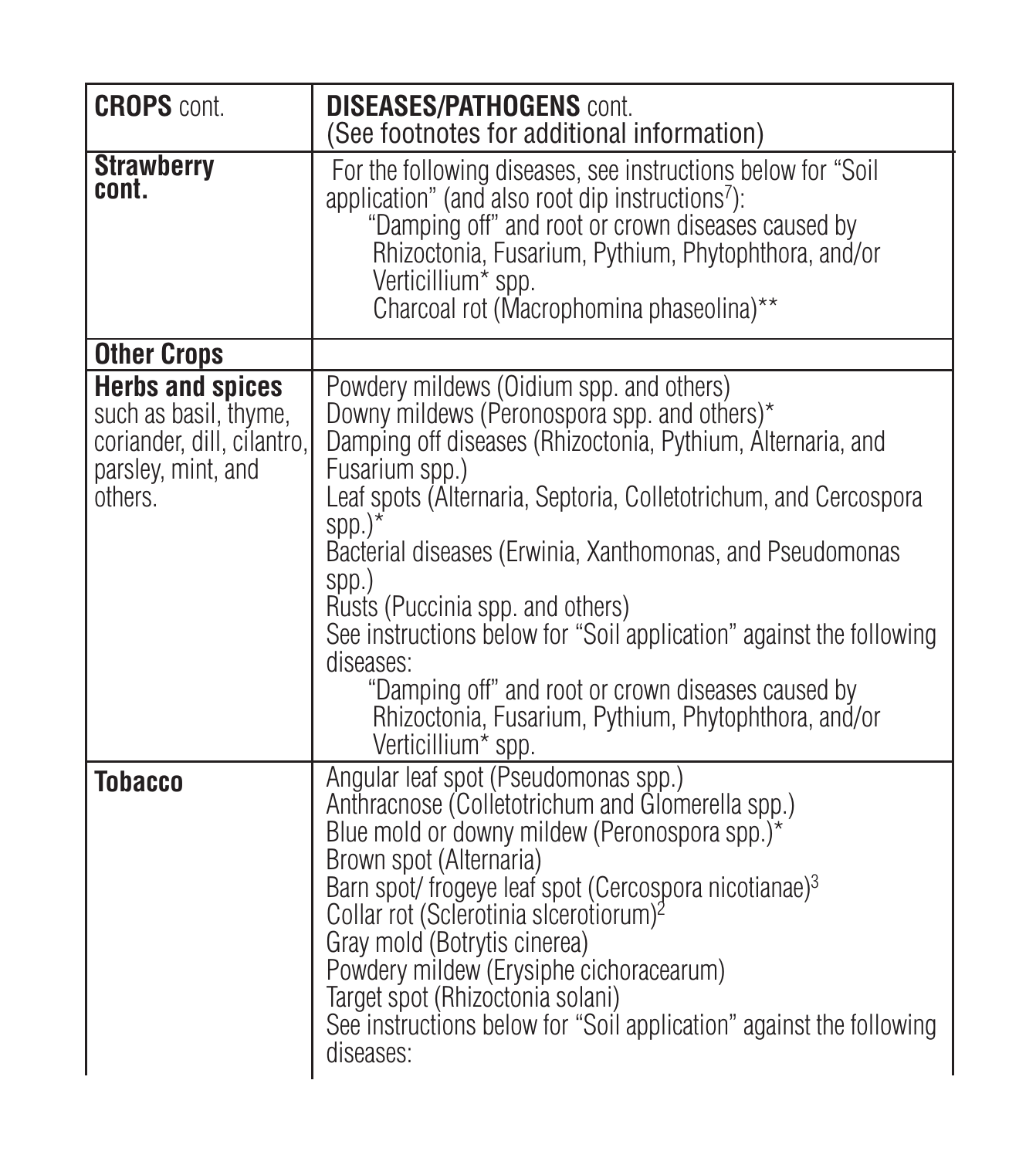| <b>CROPS</b> cont.                                                                                              | <b>DISEASES/PATHOGENS cont.</b><br>(See footnotes for additional information)                                                                                                                                                                                                                                                                                                                                                                                                                                                                                                                          |
|-----------------------------------------------------------------------------------------------------------------|--------------------------------------------------------------------------------------------------------------------------------------------------------------------------------------------------------------------------------------------------------------------------------------------------------------------------------------------------------------------------------------------------------------------------------------------------------------------------------------------------------------------------------------------------------------------------------------------------------|
| <b>Strawberry</b><br>cont.                                                                                      | For the following diseases, see instructions below for "Soil"<br>application" (and also root dip instructions <sup>7</sup> ):<br>"Damping off" and root or crown diseases caused by<br>Rhizoctonia, Fusarium, Pythium, Phytophthora, and/or<br>Verticillium* spp.<br>Charcoal rot (Macrophomina phaseolina)**                                                                                                                                                                                                                                                                                          |
| <b>Other Crops</b>                                                                                              |                                                                                                                                                                                                                                                                                                                                                                                                                                                                                                                                                                                                        |
| <b>Herbs and spices</b><br>such as basil, thyme,<br>coriander, dill, cilantro,<br>parsley, mint, and<br>others. | Powdery mildews (Oidium spp. and others)<br>Downy mildews (Peronospora spp. and others)*<br>Damping off diseases (Rhizoctonia, Pythium, Alternaria, and<br>Fusarium spp.)<br>Leaf spots (Alternaria, Septoria, Colletotrichum, and Cercospora<br>$SDD.$ <sup>*</sup><br>Bacterial diseases (Erwinia, Xanthomonas, and Pseudomonas<br>spp.)<br>Rusts (Puccinia spp. and others)<br>See instructions below for "Soil application" against the following<br>diseases:<br>"Damping off" and root or crown diseases caused by<br>Rhizoctonia, Fusarium, Pythium, Phytophthora, and/or<br>Verticillium* spp. |
| Tobacco                                                                                                         | Angular leaf spot (Pseudomonas spp.)<br>Anthracnose (Colletotrichum and Glomerella spp.)<br>Blue mold or downy mildew (Peronospora spp.)*<br>Brown spot (Alternaria)<br>Barn spot/frogeye leaf spot (Cercospora nicotianae) <sup>3</sup><br>Collar rot (Sclerotinia slcerotiorum) <sup>2</sup><br>Gray mold (Botrytis cinerea)<br>Powdery mildew (Erysiphe cichoracearum)<br>Target spot (Rhizoctonia solani)<br>See instructions below for "Soil application" against the following<br>diseases:                                                                                                      |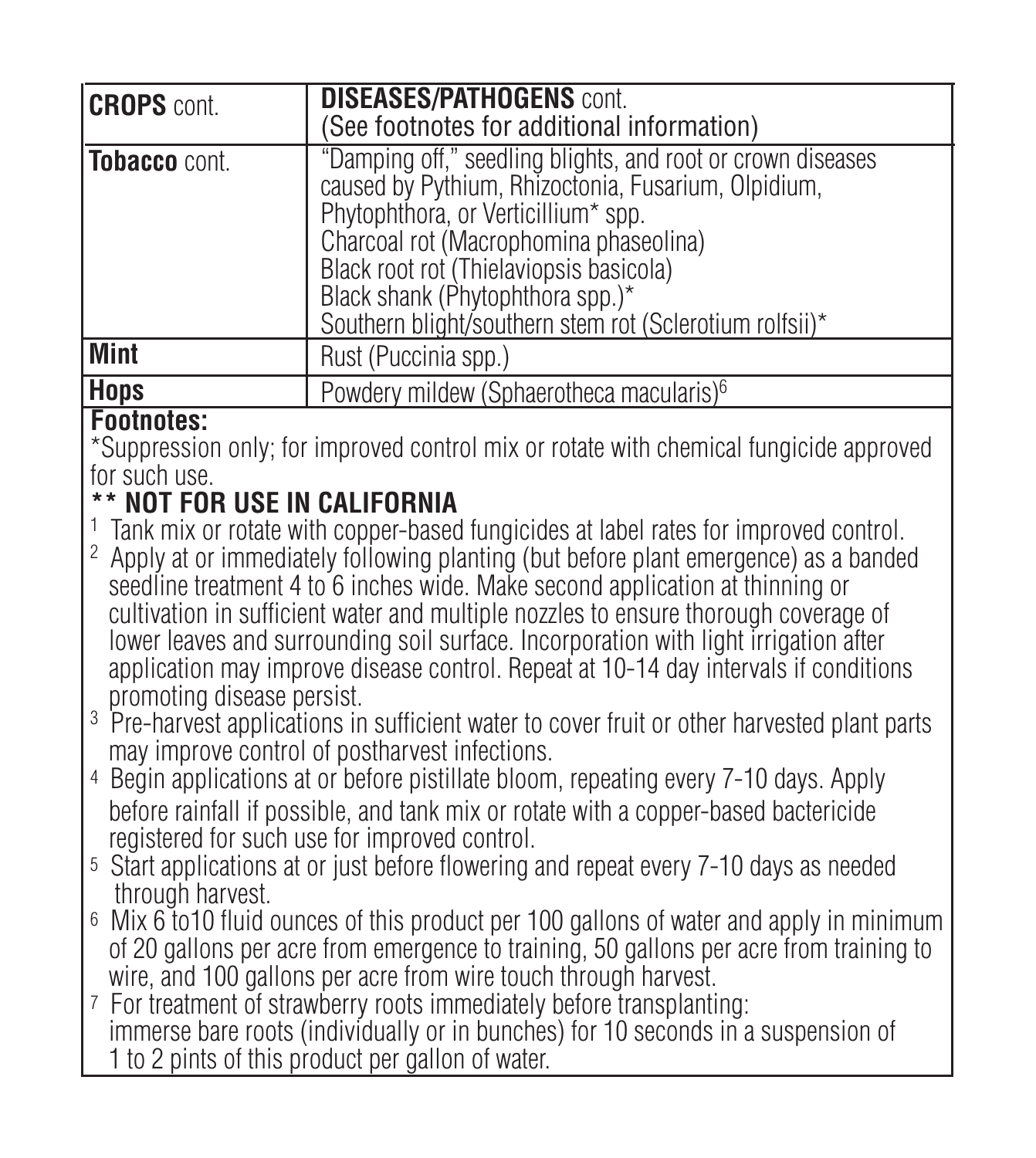| <b>CROPS</b> cont. | <b>DISEASES/PATHOGENS cont.</b><br>(See footnotes for additional information)                                                                                                                                                                                                                                                                 |
|--------------------|-----------------------------------------------------------------------------------------------------------------------------------------------------------------------------------------------------------------------------------------------------------------------------------------------------------------------------------------------|
| Tobacco cont.      | "Damping off," seedling blights, and root or crown diseases<br>caused by Pythium, Rhizoctonia, Fusarium, Olpidium,<br>Phytophthora, or Verticillium* spp.<br>Charcoal rot (Macrophomina phaseolina)<br>Black root rot (Thielaviopsis basicola)<br>Black shank (Phytophthora spp.)*<br>Southern blight/southern stem rot (Sclerotium rolfsii)* |
| <b>Mint</b>        | Rust (Puccinia spp.)                                                                                                                                                                                                                                                                                                                          |
| <b>Hops</b>        | Powdery mildew (Sphaerotheca macularis) <sup>6</sup>                                                                                                                                                                                                                                                                                          |

### **Footnotes:**

\*Suppression only; for improved control mix or rotate with chemical fungicide approved for such use.

## **\*\* NOT FOR USE IN CALIFORNIA**

- <sup>1</sup> Tank mix or rotate with copper-based fungicides at label rates for improved control.
- <sup>2</sup> Apply at or immediately following planting (but before plant emergence) as a banded seedline treatment 4 to 6 inches wide. Make second application at thinning or cultivation in sufficient water and multiple nozzles to ensure thorough coverage of lower leaves and surrounding soil surface. Incorporation with light irrigation after application may improve disease control. Repeat at 10-14 day intervals if conditions promoting disease persist.
- <sup>3</sup> Pre-harvest applications in sufficient water to cover fruit or other harvested plant parts may improve control of postharvest infections.
- 4 Begin applications at or before pistillate bloom, repeating every 7-10 days. Apply before rainfall if possible, and tank mix or rotate with a copper-based bactericide registered for such use for improved control.
- 5 Start applications at or just before flowering and repeat every 7-10 days as needed through harvest.
- 6 Mix 6 to10 fluid ounces of this product per 100 gallons of water and apply in minimum of 20 gallons per acre from emergence to training, 50 gallons per acre from training to wire, and 100 gallons per acre from wire touch through harvest.
- 7 For treatment of strawberry roots immediately before transplanting: immerse bare roots (individually or in bunches) for 10 seconds in a suspension of 1 to 2 pints of this product per gallon of water.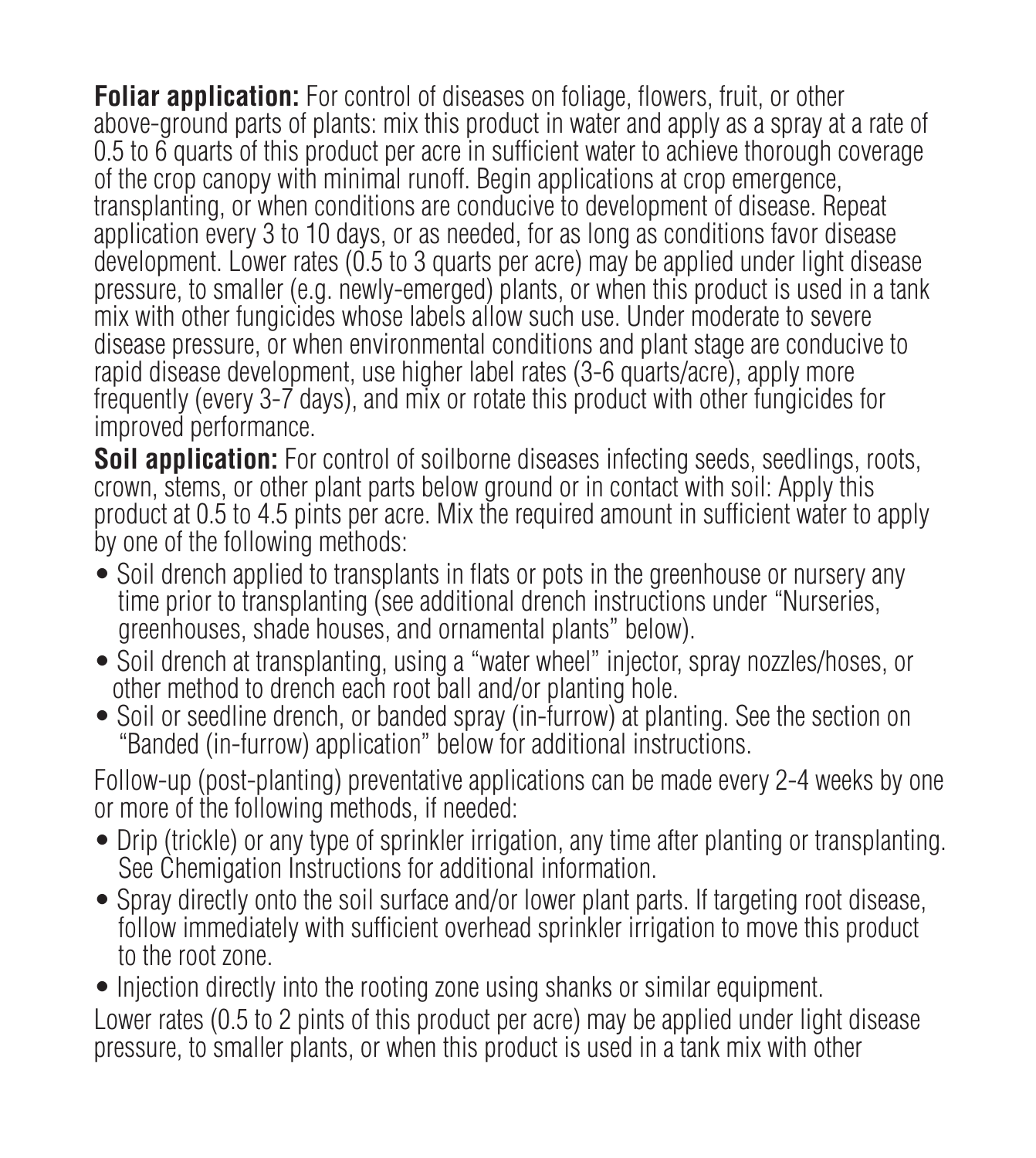**Foliar application:** For control of diseases on foliage, flowers, fruit, or other above-ground parts of plants: mix this product in water and apply as a spray at a rate of 0.5 to 6 quarts of this product per acre in sufficient water to achieve thorough coverage of the crop canopy with minimal runoff. Begin applications at crop emergence, transplanting, or when conditions are conducive to development of disease. Repeat application every 3 to 10 days, or as needed, for as long as conditions favor disease development. Lower rates (0.5 to 3 quarts per acre) may be applied under light disease pressure, to smaller (e.g. newly-emerged) plants, or when this product is used in a tank mix with other fungicides whose labels allow such use. Under moderate to severe disease pressure, or when environmental conditions and plant stage are conducive to rapid disease development, use higher label rates (3-6 quarts/acre), apply more frequently (every 3-7 days), and mix or rotate this product with other fungicides for improved performance.

**Soil application:** For control of soilborne diseases infecting seeds, seedlings, roots, crown, stems, or other plant parts below ground or in contact with soil: Apply this product at 0.5 to 4.5 pints per acre. Mix the required amount in sufficient water to apply by one of the following methods:

- Soil drench applied to transplants in flats or pots in the greenhouse or nursery any time prior to transplanting (see additional drench instructions under "Nurseries, greenhouses, shade houses, and ornamental plants" below).
- Soil drench at transplanting, using a "water wheel" injector, spray nozzles/hoses, or other method to drench each root ball and/or planting hole.
- Soil or seedline drench, or banded spray (in-furrow) at planting. See the section on "Banded (in-furrow) application" below for additional instructions.

Follow-up (post-planting) preventative applications can be made every 2-4 weeks by one or more of the following methods, if needed:

- Drip (trickle) or any type of sprinkler irrigation, any time after planting or transplanting. See Chemigation Instructions for additional information.
- Spray directly onto the soil surface and/or lower plant parts. If targeting root disease, follow immediately with sufficient overhead sprinkler irrigation to move this product to the root zone.
- Injection directly into the rooting zone using shanks or similar equipment.

Lower rates (0.5 to 2 pints of this product per acre) may be applied under light disease pressure, to smaller plants, or when this product is used in a tank mix with other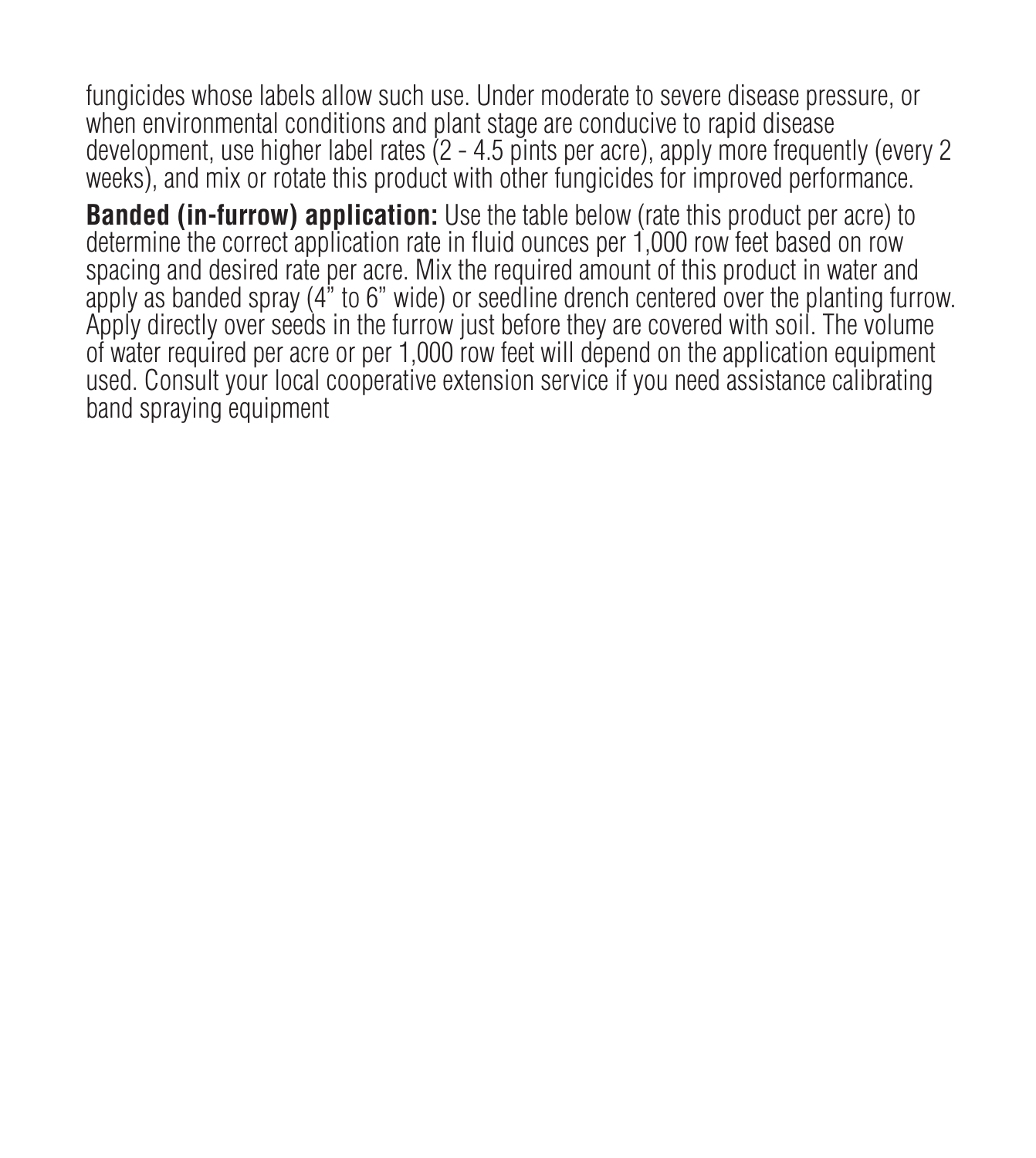fungicides whose labels allow such use. Under moderate to severe disease pressure, or when environmental conditions and plant stage are conducive to rapid disease development, use higher label rates (2 - 4.5 pints per acre), apply more frequently (every 2 weeks), and mix or rotate this product with other fungicides for improved performance.

**Banded (in-furrow) application:** Use the table below (rate this product per acre) to determine the correct application rate in fluid ounces per 1,000 row feet based on row spacing and desired rate per acre. Mix the required amount of this product in water and apply as banded spray (4" to 6" wide) or seedline drench centered over the planting furrow. Apply directly over seeds in the furrow just before they are covered with soil. The volume of water required per acre or per 1,000 row feet will depend on the application equipment used. Consult your local cooperative extension service if you need assistance calibrating band spraying equipment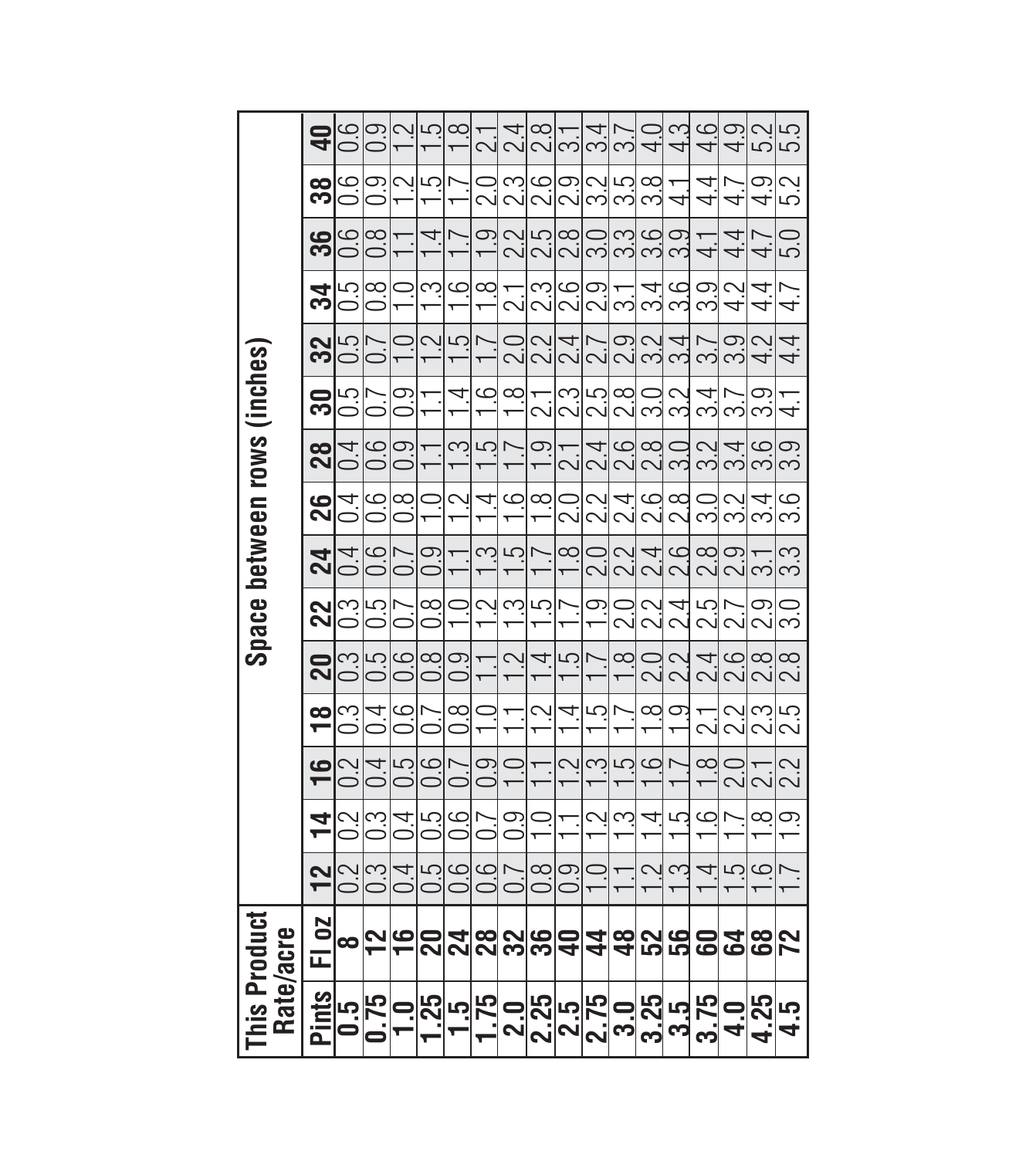| This Product<br>Rate/acre |                |                  |    |                |               |               |    | Space between rows (inches) |          |                  |               |          |     |                |                       |              |
|---------------------------|----------------|------------------|----|----------------|---------------|---------------|----|-----------------------------|----------|------------------|---------------|----------|-----|----------------|-----------------------|--------------|
| <b>Pints</b>              | Fl oz          | ₽                | 4  | ٣              | ≌             | 20            | 22 | 24                          | 26       | 28               | 50            | 32       | 34  | 36             | 38                    |              |
| ۵.                        | œ              |                  |    |                |               |               | ≌  |                             |          | 2                |               |          | ₽   |                |                       |              |
| <b>P21</b>                | ∾              |                  | 3  | 4              |               |               |    |                             |          |                  |               |          |     |                |                       |              |
|                           |                | 4                | 1  | 2              | 6             | 91            |    |                             | œ        |                  |               |          |     |                |                       |              |
| <b>25</b>                 | ສ              | جب               | ß  | $\frac{8}{10}$ |               | $\infty$      |    |                             |          |                  |               |          | m   | 4              | م                     |              |
| مِ                        | 24             | $\epsilon$       | Š  |                | $\frac{8}{1}$ | G             |    |                             |          |                  | ₹             |          |     |                |                       |              |
| r.                        | 8              | ٦ĥ               |    | 2              |               |               |    | S                           |          | بما              | $\epsilon$    |          | ∞   | Ģ              |                       |              |
| $\overline{2.0}$          | 32             |                  | 23 |                |               | 2             | S  | 1.5                         | ص        |                  | $\propto$     | 2.       | ä   | 22             | 23                    |              |
| 2.25                      | ඝ              | $\frac{8}{2}$    |    |                |               | 4             | ج  |                             | $\infty$ | Œ.               | $\sim$        |          | ೆ   | 25             | $\sim$                |              |
| $\frac{1}{2}$             | ₽              | $\overline{0.9}$ |    |                | 4             | 5             |    | $\infty$                    | ċ        |                  | c             |          |     | $\infty$       | lW                    |              |
| 2.75                      | 4              |                  | c  | m              | ما            |               | q  | 2.0                         |          | ₫                | ċ             |          | నె  | ಸ              | m                     |              |
| 3.0                       | \$             |                  |    | ج              |               | $\infty$      |    | Ç<br>¢                      |          |                  | $\frac{8}{2}$ | ග        | ന്  | ೫              |                       |              |
| 3.25                      | ង              | $\tilde{c}$      | 4  | S              | $\infty$      | c<br>c        | οs | 4<br>$\circ$                | C        | 28               | $\infty$      | c<br>CY. | 34  | 36             | $\propto$<br>$\infty$ |              |
| 3.5                       | ន              | S                | LC |                | σ.            | Ċ<br>Ċ        | 4  | G<br>¢                      | ∞        | $\alpha$         | C             | CY.      | 36  | 3.9            | d                     |              |
| 3.75                      | ສ              | 4                | G. | œ              | ¢             | 4<br>Ċ        | 25 | $\infty$                    | m        | 32               | œ             | $\infty$ | ్లె | 4              | ᆉ                     |              |
| 4.0                       | డ              | E,<br>÷          |    | 20             | 22            | 6<br>$\sim$   | N  | Ģ<br>$\sim$                 | c<br>m   | 3.4              | m             | 3.9      | 42  | 4.4            | 4                     | d            |
| 4.25                      | $\frac{28}{2}$ | $\frac{6}{1}$    | œ  | $\overline{c}$ | 2.3           | $\frac{8}{2}$ | 23 | က                           | 4<br>cri | 3.6              | S             | 4.2      | 44  | $\overline{4}$ |                       | ماری<br>ماری |
| 4.5                       |                | 17               | ူ  | 22             | $\frac{5}{3}$ |               | 30 | 3.3                         | 3.6      | $\overline{3.9}$ | ₩             | 4<br>₹   | 47  | ြ              | 의<br>서 1              |              |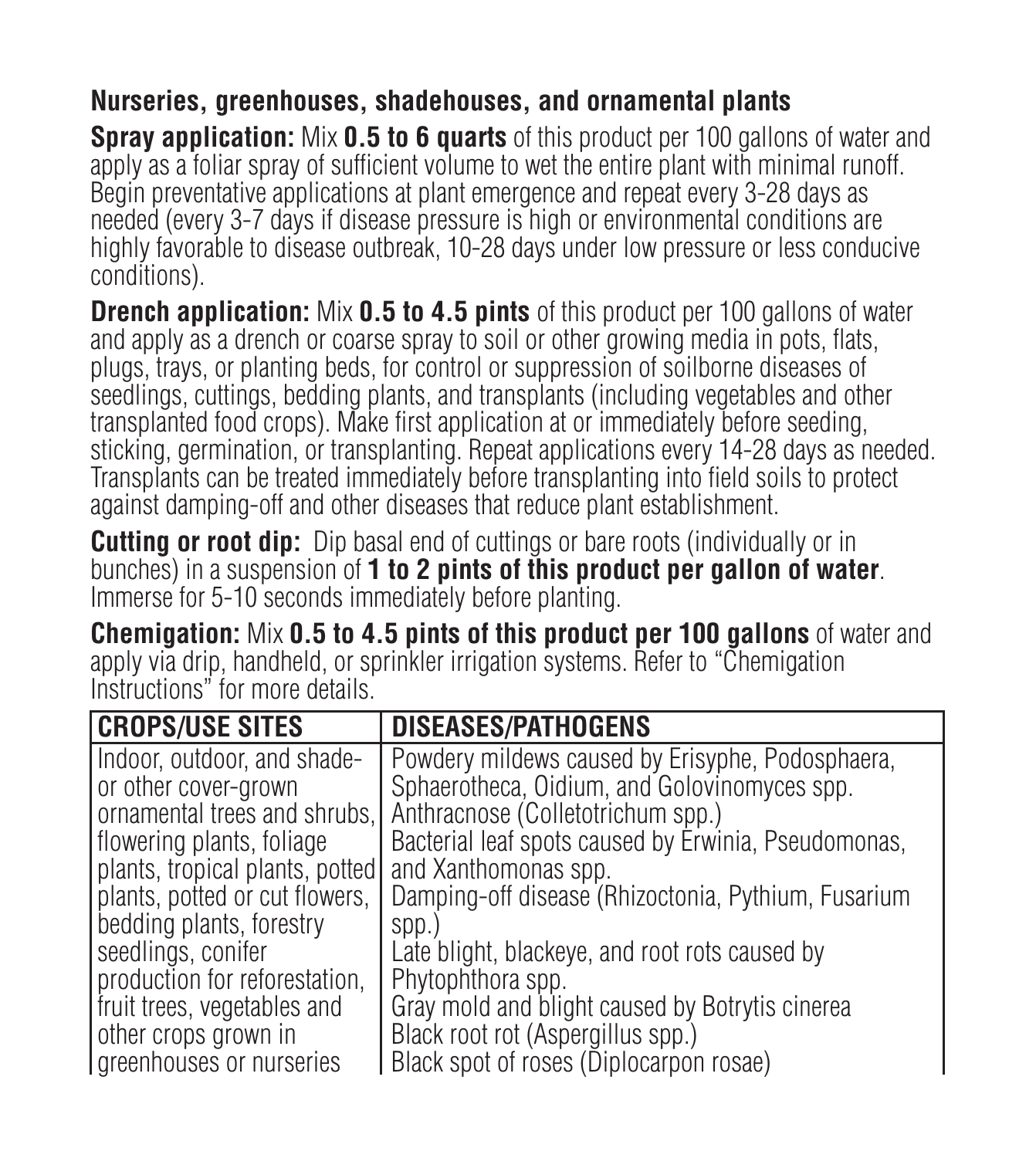#### **Nurseries, greenhouses, shadehouses, and ornamental plants**

**Spray application:** Mix **0.5 to 6 quarts** of this product per 100 gallons of water and apply as a foliar spray of sufficient volume to wet the entire plant with minimal runoff. Begin preventative applications at plant emergence and repeat every 3-28 days as needed (every 3-7 days if disease pressure is high or environmental conditions are highly favorable to disease outbreak, 10-28 days under low pressure or less conducive conditions).

**Drench application:** Mix **0.5 to 4.5 pints** of this product per 100 gallons of water and apply as a drench or coarse spray to soil or other growing media in pots, flats, plugs, trays, or planting beds, for control or suppression of soilborne diseases of seedlings, cuttings, bedding plants, and transplants (including vegetables and other transplanted food crops). Make first application at or immediately before seeding, sticking, germination, or transplanting. Repeat applications every 14-28 days as needed. Transplants can be treated immediately before transplanting into field soils to protect against damping-off and other diseases that reduce plant establishment.

**Cutting or root dip:** Dip basal end of cuttings or bare roots (individually or in bunches) in a suspension of **1 to 2 pints of this product per gallon of water**. Immerse for 5-10 seconds immediately before planting.

**Chemigation:** Mix **0.5 to 4.5 pints of this product per 100 gallons** of water and apply via drip, handheld, or sprinkler irrigation systems. Refer to "Chemigation Instructions" for more details.

| <b>CROPS/USE SITES</b>                               | <b>DISEASES/PATHOGENS</b>                                      |
|------------------------------------------------------|----------------------------------------------------------------|
| Indoor, outdoor, and shade-                          | Powdery mildews caused by Erisyphe, Podosphaera,               |
| or other cover-arown                                 | Sphaerotheca, Oidium, and Golovinomyces spp.                   |
|                                                      | ornamental trees and shrubs, Anthracnose (Colletotrichum spp.) |
| l flowering plants, foliage                          | Bacterial leaf spots caused by Erwinia, Pseudomonas,           |
| plants, tropical plants, potted and Xanthomonas spp. |                                                                |
| plants, potted or cut flowers,                       | Damping-off disease (Rhizoctonia, Pythium, Fusarium            |
| bedding plants, forestry                             | SDD.                                                           |
| seedlings, conifer                                   | Late blight, blackeye, and root rots caused by                 |
| I production for reforestation.                      | Phytophthora spp.                                              |
| fruit trees, vegetables and                          | Gray mold and blight caused by Botrytis cinerea                |
| other crops grown in                                 | Black root rot (Aspergillus spp.)                              |
| areenhouses or nurseries                             | Black spot of roses (Diplocarpon rosae)                        |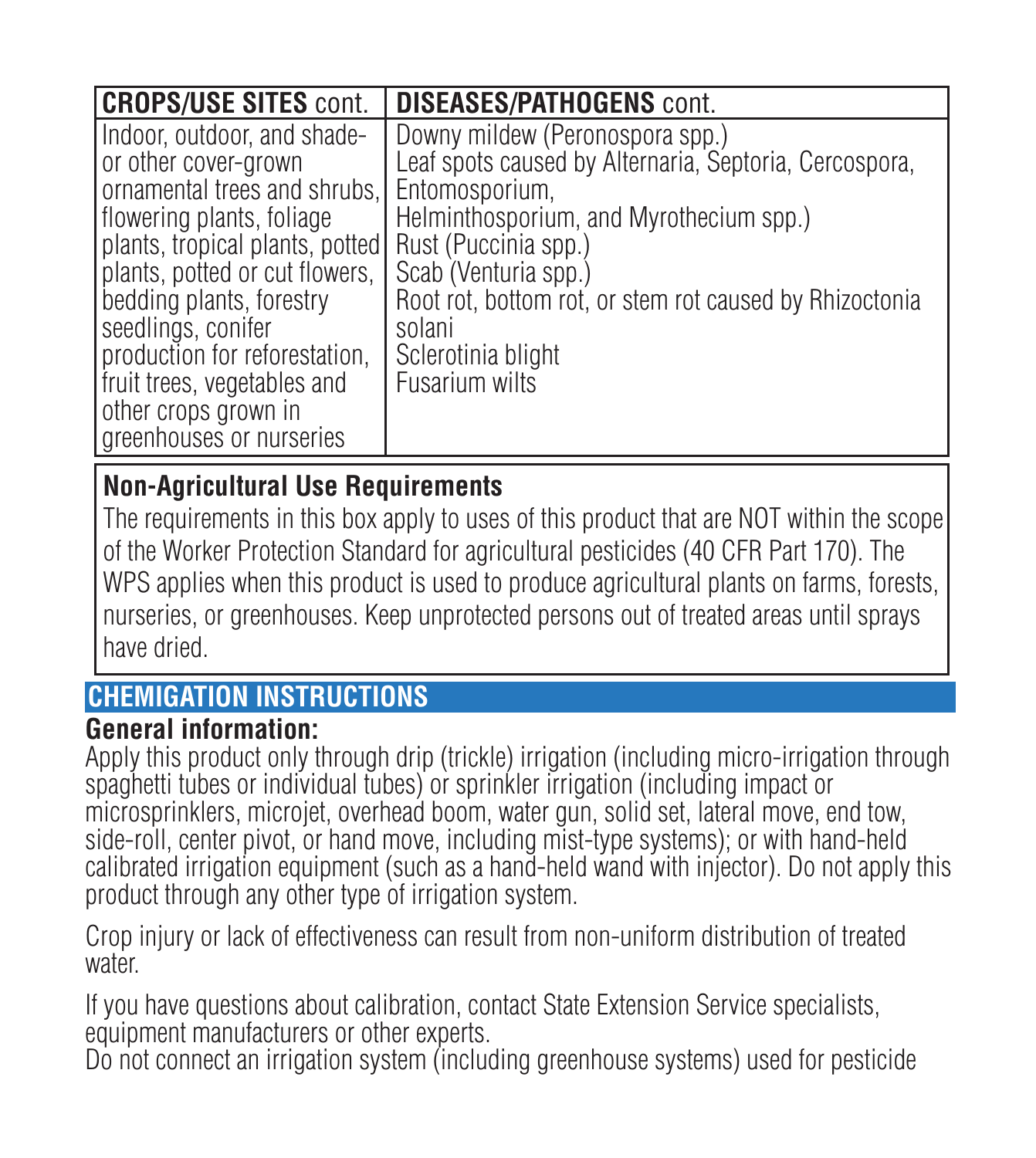| <b>CROPS/USE SITES cont.</b>                                                                                                                                                                                                                                                                                                                                                                    | <b>DISEASES/PATHOGENS cont.</b>                                                                                                                                                                                                                                           |
|-------------------------------------------------------------------------------------------------------------------------------------------------------------------------------------------------------------------------------------------------------------------------------------------------------------------------------------------------------------------------------------------------|---------------------------------------------------------------------------------------------------------------------------------------------------------------------------------------------------------------------------------------------------------------------------|
| Indoor, outdoor, and shade-<br>or other cover-grown<br>ornamental trees and shrubs, Entomosporium,<br>flowering plants, foliage<br>plants, tropical plants, potted Rust (Puccinia spp.)<br>plants, potted or cut flowers,<br>bedding plants, forestry<br>seedlings, conifer<br>production for reforestation,<br>fruit trees, vegetables and<br>other crops grown in<br>greenhouses or nurseries | Downy mildew (Peronospora spp.)<br>Leaf spots caused by Alternaria, Septoria, Cercospora,<br>Helminthosporium, and Myrothecium spp.)<br>Scab (Venturia spp.)<br>Root rot, bottom rot, or stem rot caused by Rhizoctonia<br>solani<br>Sclerotinia blight<br>Fusarium wilts |

## **Non-Agricultural Use Requirements**

The requirements in this box apply to uses of this product that are NOT within the scope of the Worker Protection Standard for agricultural pesticides (40 CFR Part 170). The WPS applies when this product is used to produce agricultural plants on farms, forests, nurseries, or greenhouses. Keep unprotected persons out of treated areas until sprays have dried.

## **CHEMIGATION INSTRUCTIONS Example Biography**

### **General information:**

Apply this product only through drip (trickle) irrigation (including micro-irrigation through spaghetti tubes or individual tubes) or sprinkler irrigation (including impact or microsprinklers, microjet, overhead boom, water gun, solid set, lateral move, end tow, side-roll, center pivot, or hand move, including mist-type systems); or with hand-held calibrated irrigation equipment (such as a hand-held wand with injector). Do not apply this product through any other type of irrigation system.

Crop injury or lack of effectiveness can result from non-uniform distribution of treated water.

If you have questions about calibration, contact State Extension Service specialists, equipment manufacturers or other experts.

Do not connect an irrigation system (including greenhouse systems) used for pesticide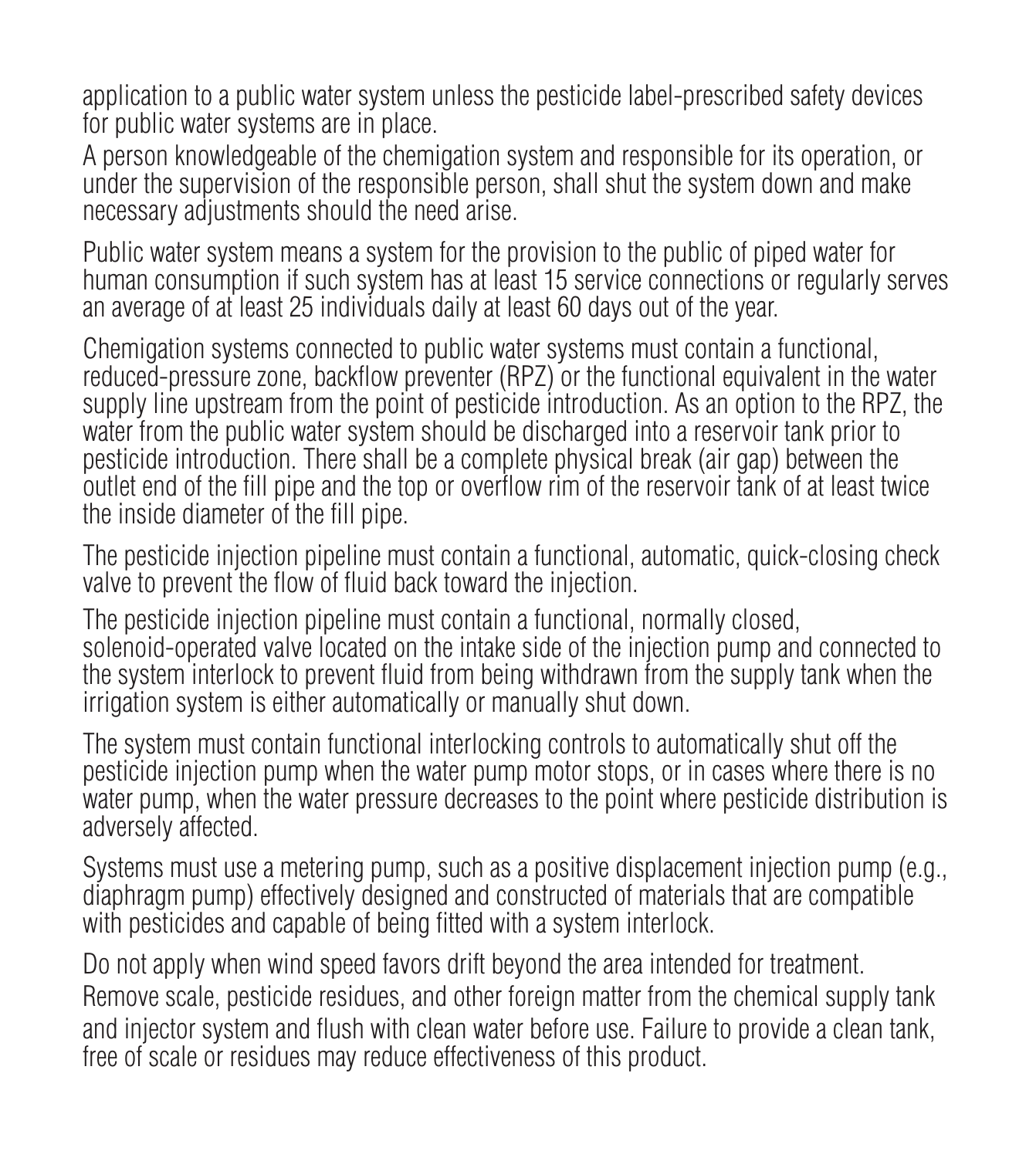application to a public water system unless the pesticide label-prescribed safety devices for public water systems are in place.

A person knowledgeable of the chemigation system and responsible for its operation, or under the supervision of the responsible person, shall shut the system down and make necessary adjustments should the need arise.

Public water system means a system for the provision to the public of piped water for human consumption if such system has at least 15 service connections or regularly serves an average of at least 25 individuals daily at least 60 days out of the year.

Chemigation systems connected to public water systems must contain a functional, reduced-pressure zone, backflow preventer (RPZ) or the functional equivalent in the water supply line upstream from the point of pesticide introduction. As an option to the RPZ, the water from the public water system should be discharged into a reservoir tank prior to pesticide introduction. There shall be a complete physical break (air gap) between the outlet end of the fill pipe and the top or overflow rim of the reservoir tank of at least twice the inside diameter of the fill pipe.

The pesticide injection pipeline must contain a functional, automatic, quick-closing check valve to prevent the flow of fluid back toward the injection.

The pesticide injection pipeline must contain a functional, normally closed, solenoid-operated valve located on the intake side of the injection pump and connected to the system interlock to prevent fluid from being withdrawn from the supply tank when the irrigation system is either automatically or manually shut down.

The system must contain functional interlocking controls to automatically shut off the pesticide injection pump when the water pump motor stops, or in cases where there is no water pump, when the water pressure decreases to the point where pesticide distribution is adversely affected.

Systems must use a metering pump, such as a positive displacement injection pump (e.g., diaphragm pump) effectively designed and constructed of materials that are compatible with pesticides and capable of being fitted with a system interlock.

Do not apply when wind speed favors drift beyond the area intended for treatment. Remove scale, pesticide residues, and other foreign matter from the chemical supply tank and injector system and flush with clean water before use. Failure to provide a clean tank, free of scale or residues may reduce effectiveness of this product.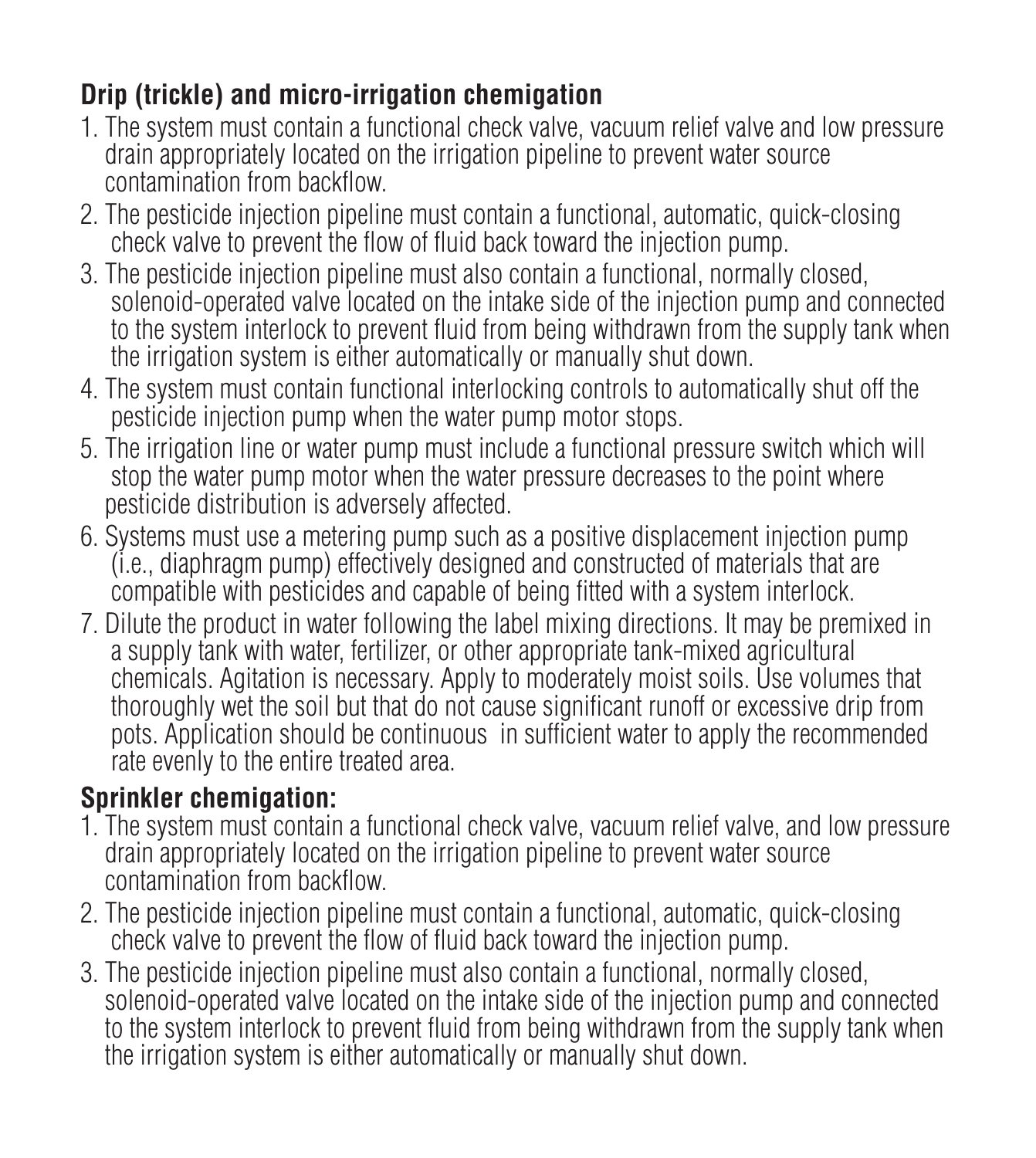# **Drip (trickle) and micro-irrigation chemigation**

- 1. The system must contain a functional check valve, vacuum relief valve and low pressure drain appropriately located on the irrigation pipeline to prevent water source contamination from backflow.
- 2. The pesticide injection pipeline must contain a functional, automatic, quick-closing check valve to prevent the flow of fluid back toward the injection pump.
- 3. The pesticide injection pipeline must also contain a functional, normally closed, solenoid-operated valve located on the intake side of the injection pump and connected to the system interlock to prevent fluid from being withdrawn from the supply tank when the irrigation system is either automatically or manually shut down.
- 4. The system must contain functional interlocking controls to automatically shut off the pesticide injection pump when the water pump motor stops.
- 5. The irrigation line or water pump must include a functional pressure switch which will stop the water pump motor when the water pressure decreases to the point where pesticide distribution is adversely affected.
- 6. Systems must use a metering pump such as a positive displacement injection pump (i.e., diaphragm pump) effectively designed and constructed of materials that are compatible with pesticides and capable of being fitted with a system interlock.
- 7. Dilute the product in water following the label mixing directions. It may be premixed in a supply tank with water, fertilizer, or other appropriate tank-mixed agricultural chemicals. Agitation is necessary. Apply to moderately moist soils. Use volumes that thoroughly wet the soil but that do not cause significant runoff or excessive drip from pots. Application should be continuous in sufficient water to apply the recommended rate evenly to the entire treated area.

# **Sprinkler chemigation:**

- 1. The system must contain a functional check valve, vacuum relief valve, and low pressure drain appropriately located on the irrigation pipeline to prevent water source contamination from backflow.
- 2. The pesticide injection pipeline must contain a functional, automatic, quick-closing check valve to prevent the flow of fluid back toward the injection pump.
- 3. The pesticide injection pipeline must also contain a functional, normally closed, solenoid-operated valve located on the intake side of the injection pump and connected to the system interlock to prevent fluid from being withdrawn from the supply tank when the irrigation system is either automatically or manually shut down.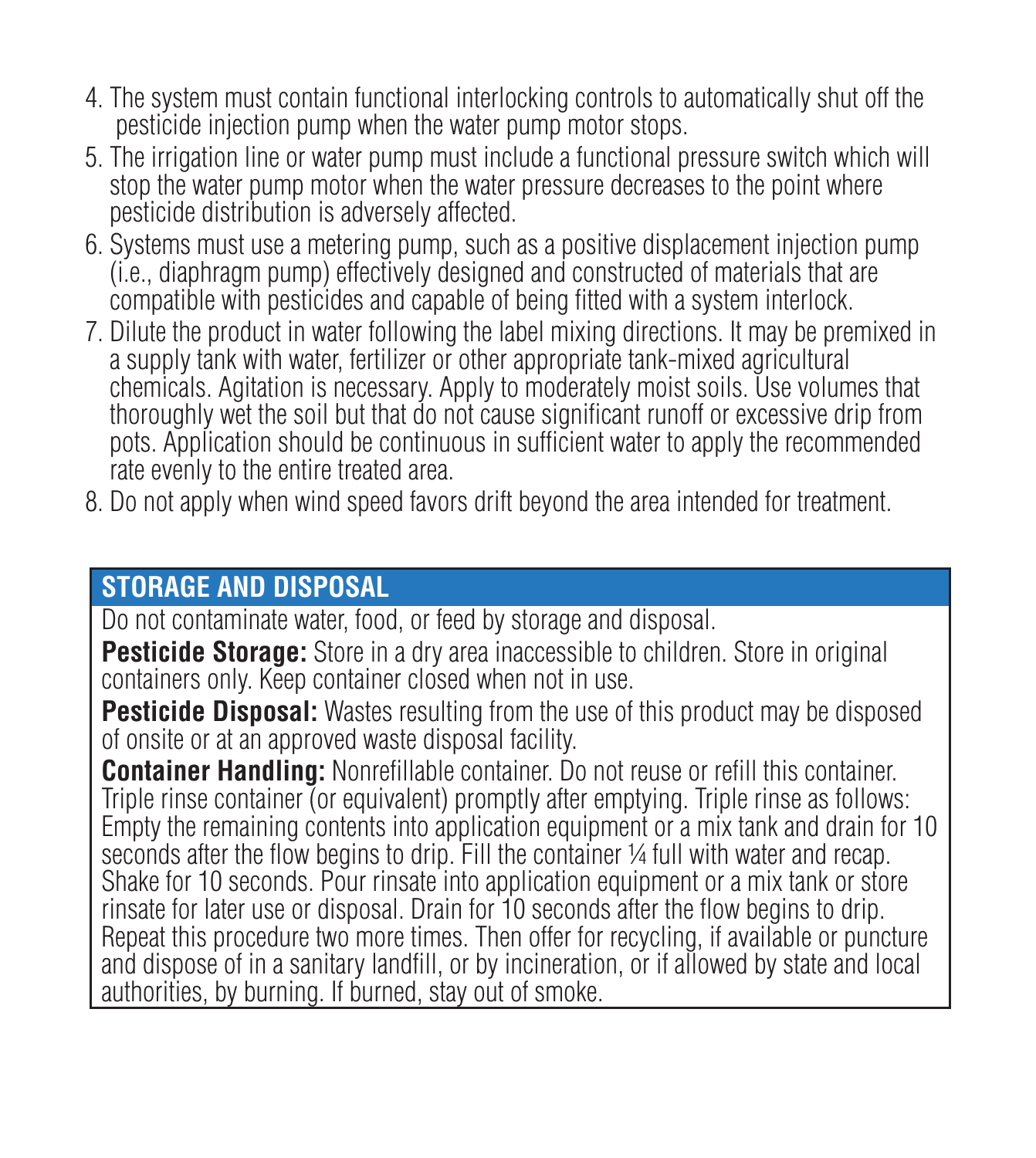- 4. The system must contain functional interlocking controls to automatically shut off the pesticide injection pump when the water pump motor stops.
- 5. The irrigation line or water pump must include a functional pressure switch which will stop the water pump motor when the water pressure decreases to the point where pesticide distribution is adversely affected.
- 6. Systems must use a metering pump, such as a positive displacement injection pump (i.e., diaphragm pump) effectively designed and constructed of materials that are compatible with pesticides and capable of being fitted with a system interlock.
- 7. Dilute the product in water following the label mixing directions. It may be premixed in a supply tank with water, fertilizer or other appropriate tank-mixed agricultural chemicals. Agitation is necessary. Apply to moderately moist soils. Use volumes that thoroughly wet the soil but that do not cause significant runoff or excessive drip from pots. Application should be continuous in sufficient water to apply the recommended rate evenly to the entire treated area.
- 8. Do not apply when wind speed favors drift beyond the area intended for treatment.

## **STORAGE AND DISPOSAL**

Do not contaminate water, food, or feed by storage and disposal.

**Pesticide Storage:** Store in a drv area inaccessible to children. Store in original containers only. Keep container closed when not in use.

**Pesticide Disposal:** Wastes resulting from the use of this product may be disposed of onsite or at an approved waste disposal facility.

**Container Handling:** Nonrefillable container. Do not reuse or refill this container. Triple rinse container (or equivalent) promptly after emptying. Triple rinse as follows: Empty the remaining contents into application equipment or a mix tank and drain for 10 seconds after the flow begins to drip. Fill the container ¼ full with water and recap. Shake for 10 seconds. Pour rinsate into application equipment or a mix tank or store rinsate for later use or disposal. Drain for 10 seconds after the flow begins to drip. Repeat this procedure two more times. Then offer for recycling, if available or puncture and dispose of in a sanitary landfill, or by incineration, or if allowed by state and local authorities, by burning. If burned, stay out of smoke.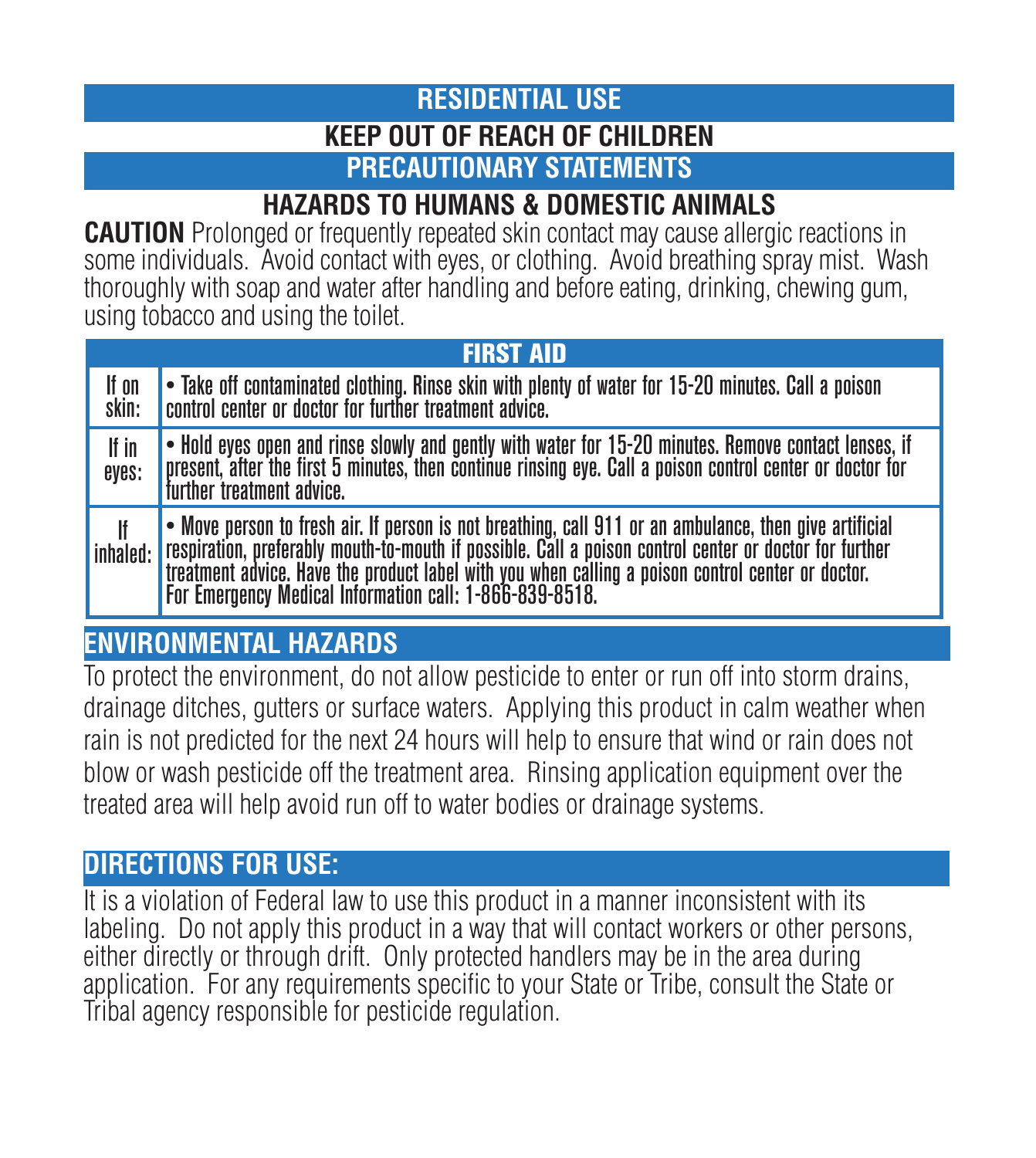# **RESIDENTIAL USE**

## **KEEP OUT OF REACH OF CHILDREN**

### **PRECAUTIONARY STATEMENTS**

#### **HAZARDS TO HUMANS & DOMESTIC ANIMALS**

**CAUTION** Prolonged or frequently repeated skin contact may cause allergic reactions in some individuals. Avoid contact with eyes, or clothing. Avoid breathing spray mist. Wash thoroughly with soap and water after handling and before eating, drinking, chewing gum, using tobacco and using the toilet.

|                | <b>FIRST AID</b>                                                                                                                                                                                                                                                                                                                                                                                  |
|----------------|---------------------------------------------------------------------------------------------------------------------------------------------------------------------------------------------------------------------------------------------------------------------------------------------------------------------------------------------------------------------------------------------------|
| If on<br>skin: | l • Take off contaminated clothing. Rinse skin with plenty of water for 15-20 minutes. Call a poison<br>control center or doctor for further treatment advice.                                                                                                                                                                                                                                    |
| If in<br>eves: | . Hold eyes open and rinse slowly and gently with water for 15-20 minutes. Remove contact lenses, if<br>present, after the first 5 minutes, then continue rinsing eve. Call a poison control center or doctor for<br>further treatment advice.                                                                                                                                                    |
| lf             | $\bullet$ Move person to fresh air. If person is not breathing, call 911 or an ambulance, then give artificial<br>inhaled: respiration, preferably mouth-to-mouth if possible. Call a poison control center or doctor for further<br>treatment advice. Have the product label with you when calling a poison control center or doctor.<br>For Emergency Medical Information call: 1-866-839-8518. |

### **ENVIRONMENTAL HAZARDS**

To protect the environment, do not allow pesticide to enter or run off into storm drains, drainage ditches, gutters or surface waters. Applying this product in calm weather when rain is not predicted for the next 24 hours will help to ensure that wind or rain does not blow or wash pesticide off the treatment area. Rinsing application equipment over the treated area will help avoid run off to water bodies or drainage systems.

### **DIRECTIONS FOR USE:**

It is a violation of Federal law to use this product in a manner inconsistent with its labeling. Do not apply this product in a way that will contact workers or other persons. either directly or through drift. Only protected handlers may be in the area during application. For any requirements specific to your State or Tribe, consult the State or Tribal agency responsible for pesticide regulation.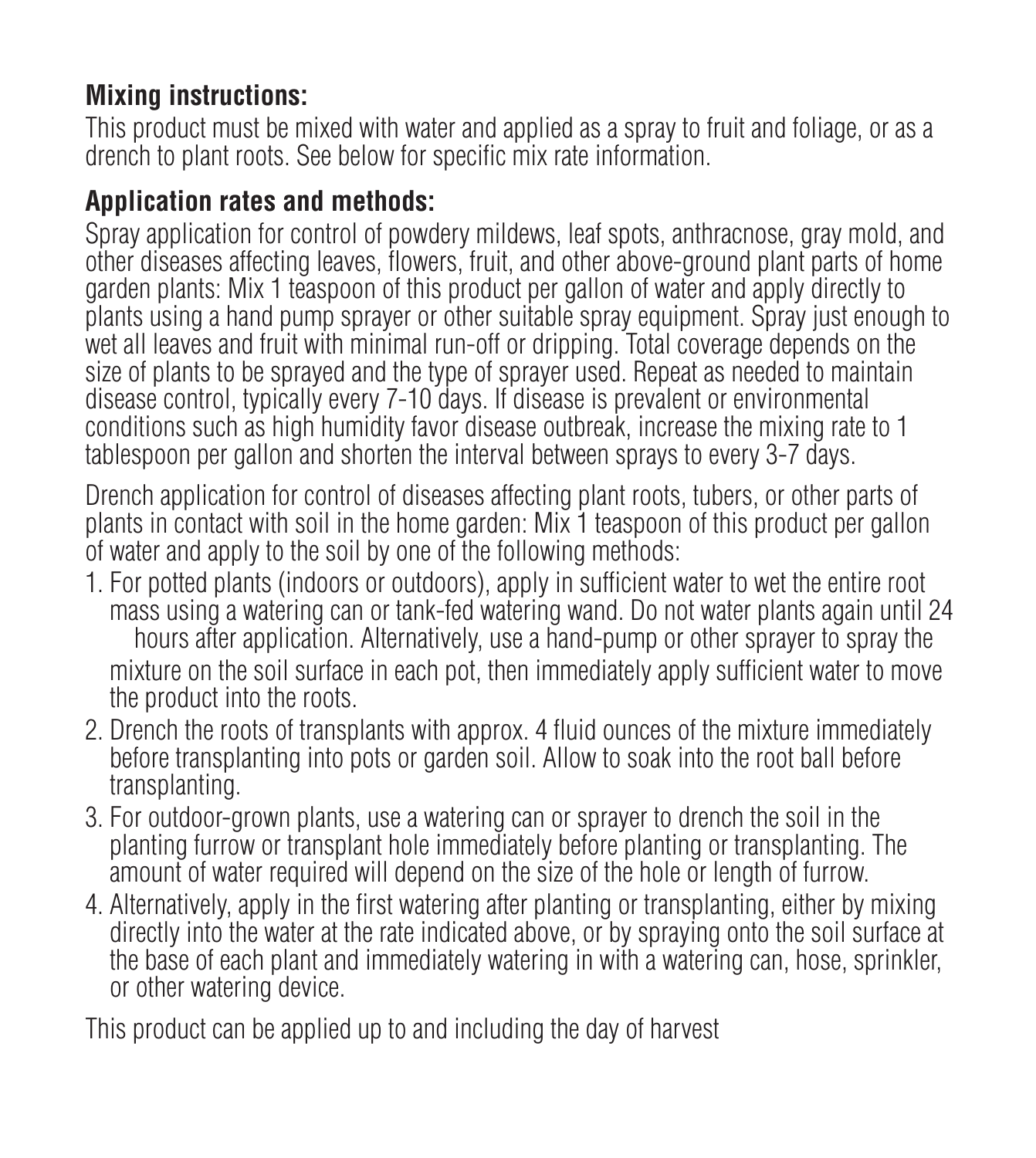#### **Mixing instructions:**

This product must be mixed with water and applied as a spray to fruit and foliage, or as a drench to plant roots. See below for specific mix rate information.

#### **Application rates and methods:**

Spray application for control of powdery mildews, leaf spots, anthracnose, gray mold, and other diseases affecting leaves, flowers, fruit, and other above-ground plant parts of home garden plants: Mix 1 teaspoon of this product per gallon of water and apply directly to plants using a hand pump sprayer or other suitable spray equipment. Spray just enough to wet all leaves and fruit with minimal run-off or dripping. Total coverage depends on the size of plants to be sprayed and the type of sprayer used. Repeat as needed to maintain disease control, typically every 7-10 days. If disease is prevalent or environmental conditions such as high humidity favor disease outbreak, increase the mixing rate to 1 tablespoon per gallon and shorten the interval between sprays to every 3-7 days.

Drench application for control of diseases affecting plant roots, tubers, or other parts of plants in contact with soil in the home garden: Mix 1 teaspoon of this product per gallon of water and apply to the soil by one of the following methods:

- 1. For potted plants (indoors or outdoors), apply in sufficient water to wet the entire root mass using a watering can or tank-fed watering wand. Do not water plants again until 24 hours after application. Alternatively, use a hand-pump or other sprayer to spray the mixture on the soil surface in each pot, then immediately apply sufficient water to move the product into the roots.
- 2. Drench the roots of transplants with approx. 4 fluid ounces of the mixture immediately before transplanting into pots or garden soil. Allow to soak into the root ball before transplanting.
- 3. For outdoor-grown plants, use a watering can or sprayer to drench the soil in the planting furrow or transplant hole immediately before planting or transplanting. The amount of water required will depend on the size of the hole or length of furrow.
- 4. Alternatively, apply in the first watering after planting or transplanting, either by mixing directly into the water at the rate indicated above, or by spraying onto the soil surface at the base of each plant and immediately watering in with a watering can, hose, sprinkler, or other watering device.

This product can be applied up to and including the day of harvest